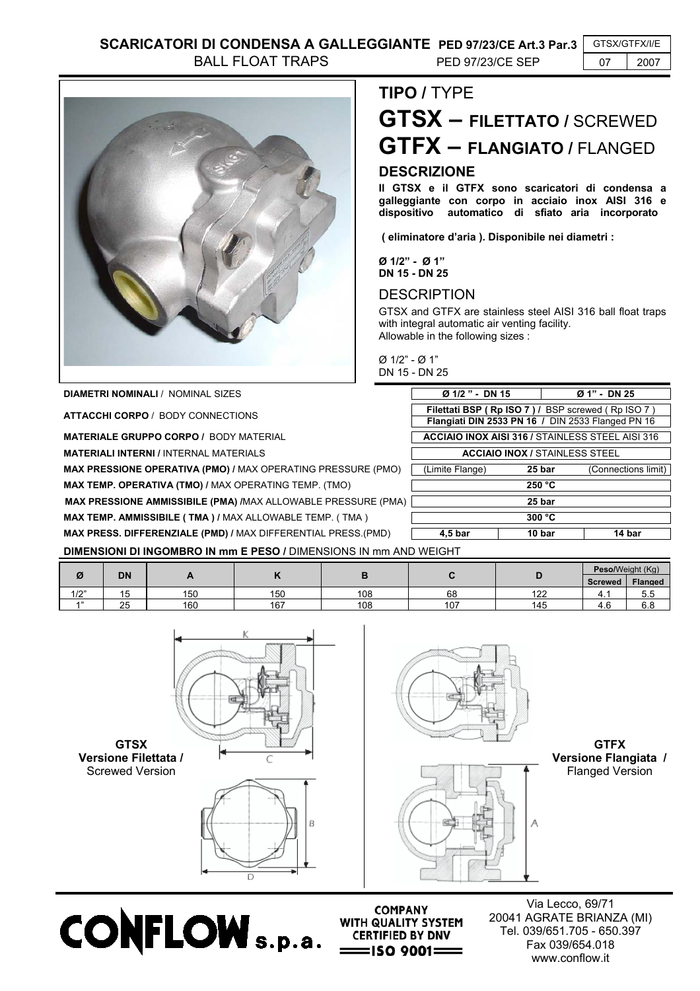

**DIAMETRI NOMINALI / NOMINAL SIZES** 

**ATTACCHI CORPO** / BODY CONNECTIONS

**MATERIALE GRUPPO CORPO / BODY MATERIAL** 

**MATERIALI INTERNI / INTERNAL MATERIALS** 

**MAX PRESSIONE OPERATIVA (PMO) / MAX OPERATING PRESSURE (PMO)** 

**MAX TEMP. OPERATIVA (TMO) / MAX OPERATING TEMP. (TMO)** 

**MAX PRESSIONE AMMISSIBILE (PMA) /**MAX ALLOWABLE PRESSURE (PMA) **25 bar**

**MAX TEMP. AMMISSIBILE ( TMA ) / MAX ALLOWABLE TEMP. ( TMA )** 

**MAX PRESS. DIFFERENZIALE (PMD) /** MAX DIFFERENTIAL PRESS.(PMD) **4,5 bar 10 bar 14 bar**

**DIMENSIONI DI INGOMBRO IN mm E PESO /** DIMENSIONS IN mm AND WEIGHT

|      | <b>DN</b>              |     |     |     |     |            | Peso/Weight (Kg)                |                |
|------|------------------------|-----|-----|-----|-----|------------|---------------------------------|----------------|
| Ø    |                        |     |     |     |     |            | <b>Screwed</b>                  | <b>Flanged</b> |
| 1/2" | . .<br><b>.</b><br>. ت | 150 | 150 | 108 | 68  | 100<br>144 | ┱. เ                            | 5.5            |
| 4.33 | 25                     | 160 | 167 | 108 | 107 | 145        | $\overline{\phantom{a}}$<br>4.U | c o<br>0.0     |





**CONFLOW** S. p.a. CERTIFIED BY DNV



**COMPANY** 

 $=$ ISO 9001 $=$ 

**GTFX Versione Flangiata /** Flanged Version



## **TIPO /** TYPE **GTSX – FILETTATO /** SCREWED **GTFX – FLANGIATO /** FLANGED **DESCRIZIONE**

**Il GTSX e il GTFX sono scaricatori di condensa a galleggiante con corpo in acciaio inox AISI 316 e dispositivo automatico di sfiato aria incorporato** 

 **( eliminatore d'aria ). Disponibile nei diametri :** 

**Ø 1/2" - Ø 1"**

GTSX and GTFX are stainless steel AISI 316 ball float traps with integral automatic air venting facility. Allowable in the following sizes :

Ø 1/2" - Ø 1" DN 15 - DN 25

| Ø 1/2 " - DN 15                                                                                        |        | Ø 1" - DN 25        |  |  |  |  |  |
|--------------------------------------------------------------------------------------------------------|--------|---------------------|--|--|--|--|--|
| Filettati BSP (Rp ISO 7) / BSP screwed (Rp ISO 7)<br>Flangiati DIN 2533 PN 16 / DIN 2533 Flanged PN 16 |        |                     |  |  |  |  |  |
| <b>ACCIAIO INOX AISI 316 / STAINLESS STEEL AISI 316</b>                                                |        |                     |  |  |  |  |  |
| <b>ACCIAIO INOX / STAINLESS STEEL</b>                                                                  |        |                     |  |  |  |  |  |
| (Limite Flange)                                                                                        | 25 bar | (Connections limit) |  |  |  |  |  |
| 250 °C                                                                                                 |        |                     |  |  |  |  |  |
| 25 bar                                                                                                 |        |                     |  |  |  |  |  |
| 300 °C                                                                                                 |        |                     |  |  |  |  |  |
| 4.5 bar                                                                                                | 10 bar | 14 bar              |  |  |  |  |  |

**DN 15 - DN 25 DESCRIPTION** 

| (Limite Flange) | 25 bar   | (Connections limit) |
|-----------------|----------|---------------------|
|                 | 250 °C   |                     |
|                 | 25 bar   |                     |
|                 | 300 °C   |                     |
| 1.5 km          | $40$ hor | 4.4 how             |